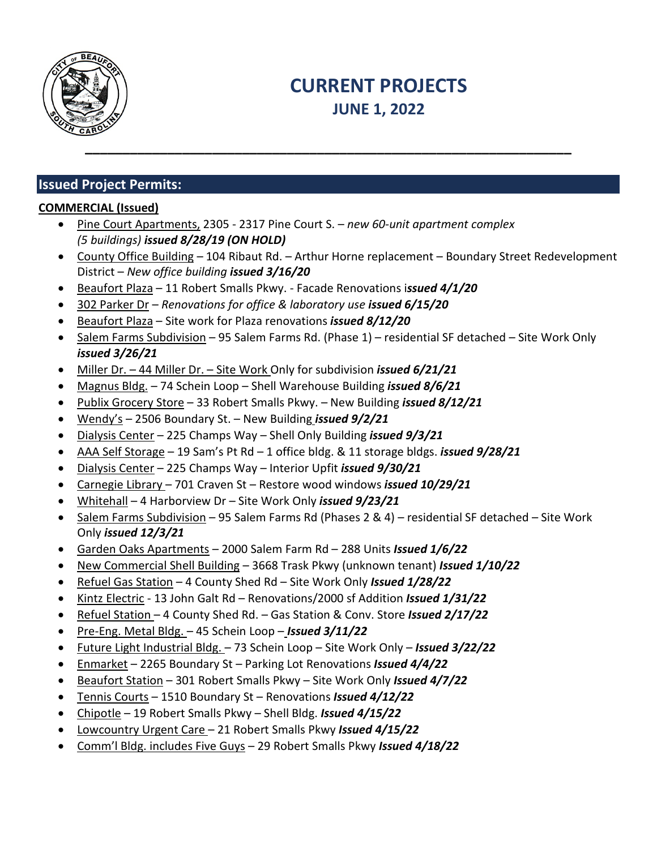

# **CURRENT PROJECTS JUNE 1, 2022**

### **Issued Project Permits:**

### **COMMERCIAL (Issued)**

- Pine Court Apartments, 2305 2317 Pine Court S. *new 60-unit apartment complex (5 buildings) issued 8/28/19 (ON HOLD)*
- County Office Building 104 Ribaut Rd. Arthur Horne replacement Boundary Street Redevelopment District – *New office building issued 3/16/20*
- Beaufort Plaza 11 Robert Smalls Pkwy. Facade Renovations i*ssued 4/1/20*
- 302 Parker Dr *Renovations for office & laboratory use issued 6/15/20*
- Beaufort Plaza Site work for Plaza renovations *issued 8/12/20*
- Salem Farms Subdivision 95 Salem Farms Rd. (Phase 1) residential SF detached Site Work Only *issued 3/26/21*
- Miller Dr. 44 Miller Dr. Site Work Only for subdivision *issued 6/21/21*
- Magnus Bldg. 74 Schein Loop Shell Warehouse Building *issued 8/6/21*
- Publix Grocery Store 33 Robert Smalls Pkwy. New Building *issued 8/12/21*
- Wendy's 2506 Boundary St. New Building *issued 9/2/21*
- Dialysis Center 225 Champs Way Shell Only Building *issued 9/3/21*
- AAA Self Storage 19 Sam's Pt Rd 1 office bldg. & 11 storage bldgs. *issued 9/28/21*
- Dialysis Center 225 Champs Way Interior Upfit *issued 9/30/21*
- Carnegie Library 701 Craven St Restore wood windows *issued 10/29/21*
- Whitehall 4 Harborview Dr Site Work Only *issued 9/23/21*
- Salem Farms Subdivision 95 Salem Farms Rd (Phases 2 & 4) residential SF detached Site Work Only *issued 12/3/21*
- Garden Oaks Apartments 2000 Salem Farm Rd 288 Units *Issued 1/6/22*
- New Commercial Shell Building 3668 Trask Pkwy (unknown tenant) *Issued 1/10/22*
- Refuel Gas Station 4 County Shed Rd Site Work Only *Issued 1/28/22*
- Kintz Electric 13 John Galt Rd Renovations/2000 sf Addition *Issued 1/31/22*
- Refuel Station 4 County Shed Rd. Gas Station & Conv. Store *Issued 2/17/22*
- Pre-Eng. Metal Bldg. 45 Schein Loop *Issued 3/11/22*
- Future Light Industrial Bldg. 73 Schein Loop Site Work Only *Issued 3/22/22*
- Enmarket 2265 Boundary St Parking Lot Renovations *Issued 4/4/22*
- Beaufort Station 301 Robert Smalls Pkwy Site Work Only *Issued 4/7/22*
- Tennis Courts 1510 Boundary St Renovations *Issued 4/12/22*
- Chipotle 19 Robert Smalls Pkwy Shell Bldg. *Issued 4/15/22*
- Lowcountry Urgent Care 21 Robert Smalls Pkwy *Issued 4/15/22*
- Comm'l Bldg. includes Five Guys 29 Robert Smalls Pkwy *Issued 4/18/22*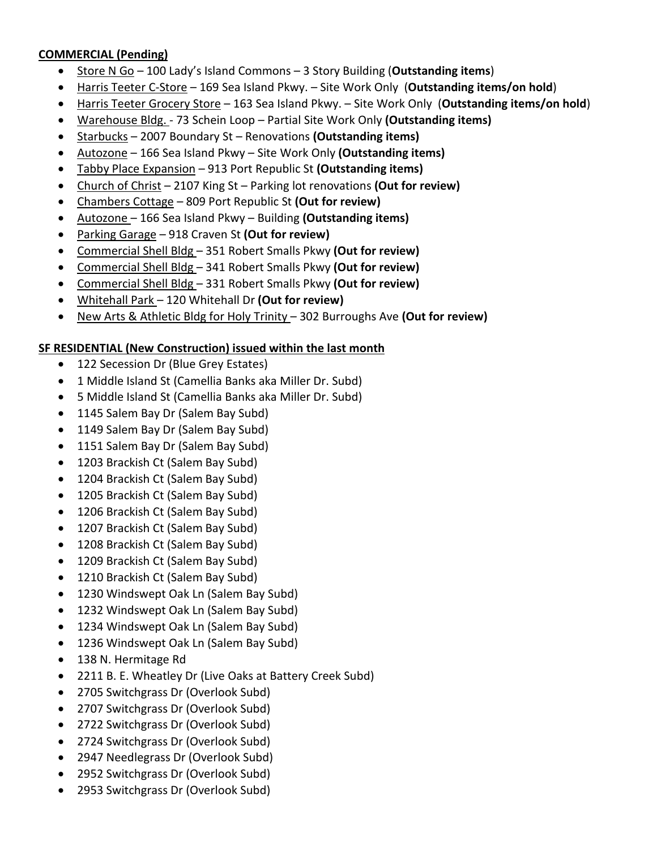### **COMMERCIAL (Pending)**

- Store N Go 100 Lady's Island Commons 3 Story Building (**Outstanding items**)
- Harris Teeter C-Store 169 Sea Island Pkwy. Site Work Only (**Outstanding items/on hold**)
- Harris Teeter Grocery Store 163 Sea Island Pkwy. Site Work Only (**Outstanding items/on hold**)
- Warehouse Bldg. 73 Schein Loop Partial Site Work Only **(Outstanding items)**
- Starbucks 2007 Boundary St Renovations **(Outstanding items)**
- Autozone 166 Sea Island Pkwy Site Work Only **(Outstanding items)**
- Tabby Place Expansion 913 Port Republic St **(Outstanding items)**
- Church of Christ 2107 King St Parking lot renovations **(Out for review)**
- Chambers Cottage 809 Port Republic St **(Out for review)**
- Autozone 166 Sea Island Pkwy Building **(Outstanding items)**
- Parking Garage 918 Craven St **(Out for review)**
- Commercial Shell Bldg 351 Robert Smalls Pkwy **(Out for review)**
- Commercial Shell Bldg 341 Robert Smalls Pkwy **(Out for review)**
- Commercial Shell Bldg 331 Robert Smalls Pkwy **(Out for review)**
- Whitehall Park 120 Whitehall Dr **(Out for review)**
- New Arts & Athletic Bldg for Holy Trinity 302 Burroughs Ave **(Out for review)**

### **SF RESIDENTIAL (New Construction) issued within the last month**

- 122 Secession Dr (Blue Grey Estates)
- 1 Middle Island St (Camellia Banks aka Miller Dr. Subd)
- 5 Middle Island St (Camellia Banks aka Miller Dr. Subd)
- 1145 Salem Bay Dr (Salem Bay Subd)
- 1149 Salem Bay Dr (Salem Bay Subd)
- 1151 Salem Bay Dr (Salem Bay Subd)
- 1203 Brackish Ct (Salem Bay Subd)
- 1204 Brackish Ct (Salem Bay Subd)
- 1205 Brackish Ct (Salem Bay Subd)
- 1206 Brackish Ct (Salem Bay Subd)
- 1207 Brackish Ct (Salem Bay Subd)
- 1208 Brackish Ct (Salem Bay Subd)
- 1209 Brackish Ct (Salem Bay Subd)
- 1210 Brackish Ct (Salem Bay Subd)
- 1230 Windswept Oak Ln (Salem Bay Subd)
- 1232 Windswept Oak Ln (Salem Bay Subd)
- 1234 Windswept Oak Ln (Salem Bay Subd)
- 1236 Windswept Oak Ln (Salem Bay Subd)
- 138 N. Hermitage Rd
- 2211 B. E. Wheatley Dr (Live Oaks at Battery Creek Subd)
- 2705 Switchgrass Dr (Overlook Subd)
- 2707 Switchgrass Dr (Overlook Subd)
- 2722 Switchgrass Dr (Overlook Subd)
- 2724 Switchgrass Dr (Overlook Subd)
- 2947 Needlegrass Dr (Overlook Subd)
- 2952 Switchgrass Dr (Overlook Subd)
- 2953 Switchgrass Dr (Overlook Subd)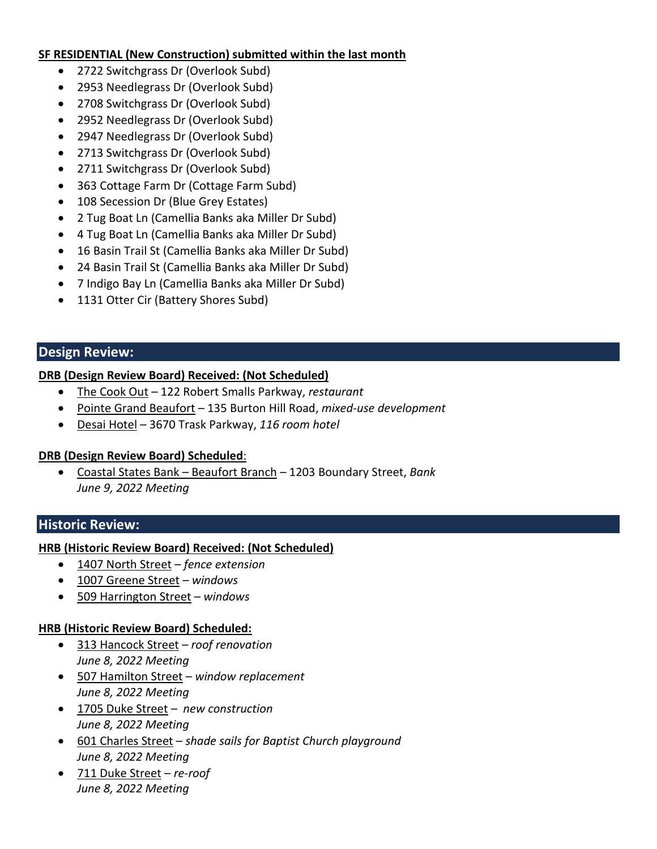#### **SF RESIDENTIAL (New Construction) submitted within the last month**

- 2722 Switchgrass Dr (Overlook Subd)
- 2953 Needlegrass Dr (Overlook Subd)
- 2708 Switchgrass Dr (Overlook Subd)
- 2952 Needlegrass Dr (Overlook Subd)
- 2947 Needlegrass Dr (Overlook Subd)
- 2713 Switchgrass Dr (Overlook Subd)
- 2711 Switchgrass Dr (Overlook Subd)
- 363 Cottage Farm Dr (Cottage Farm Subd)
- 108 Secession Dr (Blue Grey Estates)
- 2 Tug Boat Ln (Camellia Banks aka Miller Dr Subd)
- 4 Tug Boat Ln (Camellia Banks aka Miller Dr Subd)
- 16 Basin Trail St (Camellia Banks aka Miller Dr Subd)
- 24 Basin Trail St (Camellia Banks aka Miller Dr Subd)
- 7 Indigo Bay Ln (Camellia Banks aka Miller Dr Subd)
- 1131 Otter Cir (Battery Shores Subd)

### **Design Review:**

### **DRB (Design Review Board) Received: (Not Scheduled)**

- The Cook Out 122 Robert Smalls Parkway, *restaurant*
- Pointe Grand Beaufort 135 Burton Hill Road, *mixed-use development*
- Desai Hotel 3670 Trask Parkway, *116 room hotel*

### **DRB (Design Review Board) Scheduled**:

• Coastal States Bank – Beaufort Branch – 1203 Boundary Street, *Bank June 9, 2022 Meeting*

### **Historic Review:**

### **HRB (Historic Review Board) Received: (Not Scheduled)**

- 1407 North Street *fence extension*
- 1007 Greene Street *windows*
- 509 Harrington Street *windows*

#### **HRB (Historic Review Board) Scheduled:**

- 313 Hancock Street *roof renovation June 8, 2022 Meeting*
- 507 Hamilton Street *window replacement June 8, 2022 Meeting*
- 1705 Duke Street *new construction June 8, 2022 Meeting*
- 601 Charles Street *shade sails for Baptist Church playground June 8, 2022 Meeting*
- 711 Duke Street *re-roof June 8, 2022 Meeting*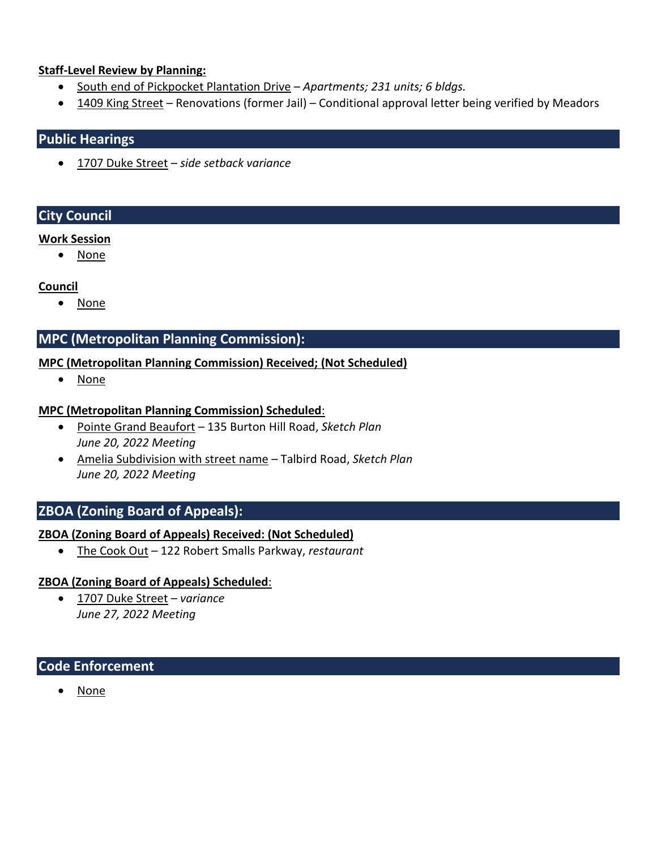#### **Staff-Level Review by Planning:**

- South end of Pickpocket Plantation Drive *Apartments; 231 units; 6 bldgs.*
- 1409 King Street Renovations (former Jail) Conditional approval letter being verified by Meadors

### **Public Hearings**

• 1707 Duke Street – *side setback variance*

### **City Council**

#### **Work Session**

• None

### **Council**

• None

### **MPC (Metropolitan Planning Commission):**

### **MPC (Metropolitan Planning Commission) Received; (Not Scheduled)**

• None

### **MPC (Metropolitan Planning Commission) Scheduled**:

- Pointe Grand Beaufort 135 Burton Hill Road, *Sketch Plan June 20, 2022 Meeting*
- Amelia Subdivision with street name Talbird Road, *Sketch Plan June 20, 2022 Meeting*

### **ZBOA (Zoning Board of Appeals):**

### **ZBOA (Zoning Board of Appeals) Received: (Not Scheduled)**

• The Cook Out – 122 Robert Smalls Parkway, *restaurant*

### **ZBOA (Zoning Board of Appeals) Scheduled**:

• 1707 Duke Street – *variance June 27, 2022 Meeting*

### **Code Enforcement**

• None